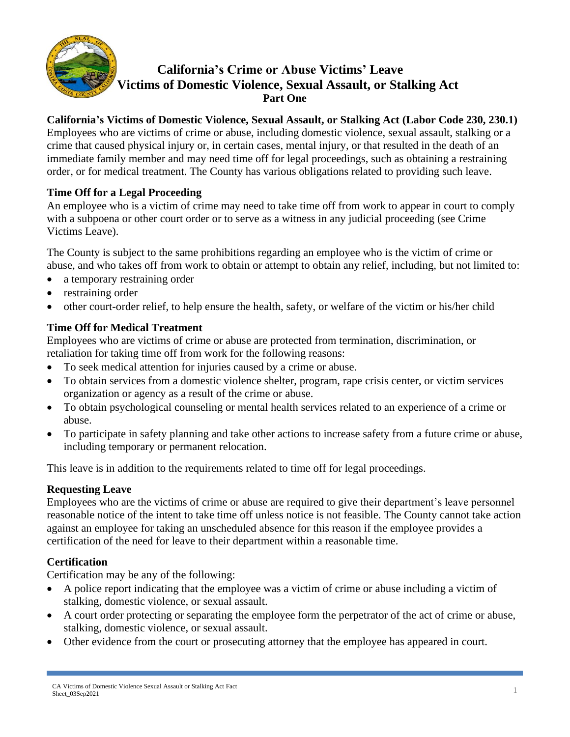

# **California's Crime or Abuse Victims' Leave Victims of Domestic Violence, Sexual Assault, or Stalking Act Part One**

### **California's Victims of Domestic Violence, Sexual Assault, or Stalking Act (Labor Code 230, 230.1)**

Employees who are victims of crime or abuse, including domestic violence, sexual assault, stalking or a crime that caused physical injury or, in certain cases, mental injury, or that resulted in the death of an immediate family member and may need time off for legal proceedings, such as obtaining a restraining order, or for medical treatment. The County has various obligations related to providing such leave.

## **Time Off for a Legal Proceeding**

An employee who is a victim of crime may need to take time off from work to appear in court to comply with a subpoena or other court order or to serve as a witness in any judicial proceeding (see Crime Victims Leave).

The County is subject to the same prohibitions regarding an employee who is the victim of crime or abuse, and who takes off from work to obtain or attempt to obtain any relief, including, but not limited to:

- a temporary restraining order
- restraining order
- other court-order relief, to help ensure the health, safety, or welfare of the victim or his/her child

### **Time Off for Medical Treatment**

Employees who are victims of crime or abuse are protected from termination, discrimination, or retaliation for taking time off from work for the following reasons:

- To seek medical attention for injuries caused by a crime or abuse.
- To obtain services from a domestic violence shelter, program, rape crisis center, or victim services organization or agency as a result of the crime or abuse.
- To obtain psychological counseling or mental health services related to an experience of a crime or abuse.
- To participate in safety planning and take other actions to increase safety from a future crime or abuse, including temporary or permanent relocation.

This leave is in addition to the requirements related to time off for legal proceedings.

### **Requesting Leave**

Employees who are the victims of crime or abuse are required to give their department's leave personnel reasonable notice of the intent to take time off unless notice is not feasible. The County cannot take action against an employee for taking an unscheduled absence for this reason if the employee provides a certification of the need for leave to their department within a reasonable time.

### **Certification**

Certification may be any of the following:

- A police report indicating that the employee was a victim of crime or abuse including a victim of stalking, domestic violence, or sexual assault.
- A court order protecting or separating the employee form the perpetrator of the act of crime or abuse, stalking, domestic violence, or sexual assault.
- Other evidence from the court or prosecuting attorney that the employee has appeared in court.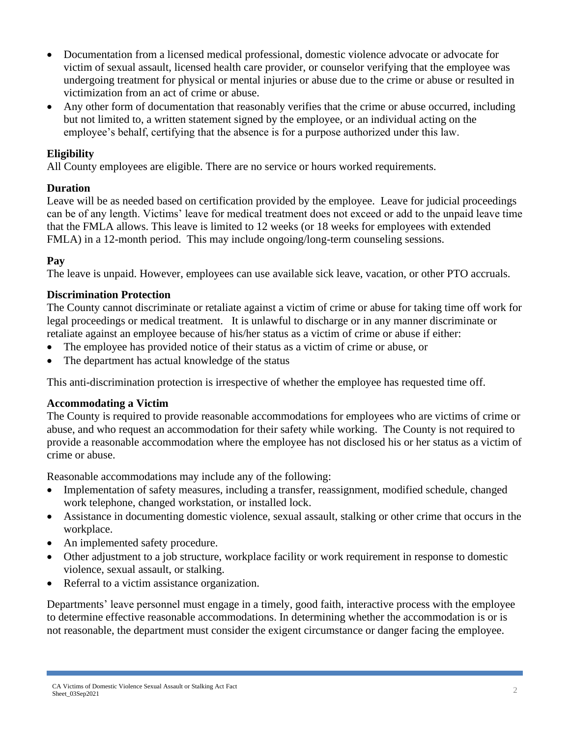- Documentation from a licensed medical professional, domestic violence advocate or advocate for victim of sexual assault, licensed health care provider, or counselor verifying that the employee was undergoing treatment for physical or mental injuries or abuse due to the crime or abuse or resulted in victimization from an act of crime or abuse.
- Any other form of documentation that reasonably verifies that the crime or abuse occurred, including but not limited to, a written statement signed by the employee, or an individual acting on the employee's behalf, certifying that the absence is for a purpose authorized under this law.

### **Eligibility**

All County employees are eligible. There are no service or hours worked requirements.

### **Duration**

Leave will be as needed based on certification provided by the employee. Leave for judicial proceedings can be of any length. Victims' leave for medical treatment does not exceed or add to the unpaid leave time that the FMLA allows. This leave is limited to 12 weeks (or 18 weeks for employees with extended FMLA) in a 12-month period. This may include ongoing/long-term counseling sessions.

### **Pay**

The leave is unpaid. However, employees can use available sick leave, vacation, or other PTO accruals.

### **Discrimination Protection**

The County cannot discriminate or retaliate against a victim of crime or abuse for taking time off work for legal proceedings or medical treatment. It is unlawful to discharge or in any manner discriminate or retaliate against an employee because of his/her status as a victim of crime or abuse if either:

- The employee has provided notice of their status as a victim of crime or abuse, or
- The department has actual knowledge of the status

This anti-discrimination protection is irrespective of whether the employee has requested time off.

### **Accommodating a Victim**

The County is required to provide reasonable accommodations for employees who are victims of crime or abuse, and who request an accommodation for their safety while working. The County is not required to provide a reasonable accommodation where the employee has not disclosed his or her status as a victim of crime or abuse.

Reasonable accommodations may include any of the following:

- Implementation of safety measures, including a transfer, reassignment, modified schedule, changed work telephone, changed workstation, or installed lock.
- Assistance in documenting domestic violence, sexual assault, stalking or other crime that occurs in the workplace.
- An implemented safety procedure.
- Other adjustment to a job structure, workplace facility or work requirement in response to domestic violence, sexual assault, or stalking.
- Referral to a victim assistance organization.

Departments' leave personnel must engage in a timely, good faith, interactive process with the employee to determine effective reasonable accommodations. In determining whether the accommodation is or is not reasonable, the department must consider the exigent circumstance or danger facing the employee.